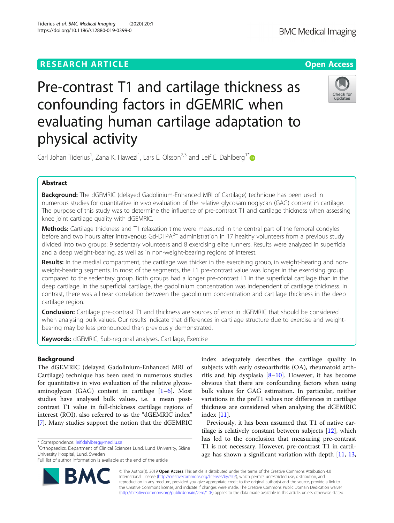

# Pre-contrast T1 and cartilage thickness as confounding factors in dGEMRIC when evaluating human cartilage adaptation to physical activity



Carl Johan Tiderius<sup>1</sup>, Zana K. Hawezi<sup>1</sup>, Lars E. Olsson<sup>2,3</sup> and Leif E. Dahlberg<sup>1[\\*](http://orcid.org/0000-0001-6090-6697)</sup>

# Abstract

**Background:** The dGEMRIC (delayed Gadolinium-Enhanced MRI of Cartilage) technique has been used in numerous studies for quantitative in vivo evaluation of the relative glycosaminoglycan (GAG) content in cartilage. The purpose of this study was to determine the influence of pre-contrast T1 and cartilage thickness when assessing knee joint cartilage quality with dGEMRIC.

Methods: Cartilage thickness and T1 relaxation time were measured in the central part of the femoral condyles before and two hours after intravenous Gd-DTPA<sup>2−</sup> administration in 17 healthy volunteers from a previous study divided into two groups: 9 sedentary volunteers and 8 exercising elite runners. Results were analyzed in superficial and a deep weight-bearing, as well as in non-weight-bearing regions of interest.

Results: In the medial compartment, the cartilage was thicker in the exercising group, in weight-bearing and nonweight-bearing segments. In most of the segments, the T1 pre-contrast value was longer in the exercising group compared to the sedentary group. Both groups had a longer pre-contrast T1 in the superficial cartilage than in the deep cartilage. In the superficial cartilage, the gadolinium concentration was independent of cartilage thickness. In contrast, there was a linear correlation between the gadolinium concentration and cartilage thickness in the deep cartilage region.

**Conclusion:** Cartilage pre-contrast T1 and thickness are sources of error in dGEMRIC that should be considered when analysing bulk values. Our results indicate that differences in cartilage structure due to exercise and weightbearing may be less pronounced than previously demonstrated.

Keywords: dGEMRIC, Sub-regional analyses, Cartilage, Exercise

# Background

The dGEMRIC (delayed Gadolinium-Enhanced MRI of Cartilage) technique has been used in numerous studies for quantitative in vivo evaluation of the relative glycosaminoglycan (GAG) content in cartilage [\[1](#page-5-0)–[6](#page-5-0)]. Most studies have analysed bulk values, i.e. a mean postcontrast T1 value in full-thickness cartilage regions of interest (ROI), also referred to as the "dGEMRIC index" [[7\]](#page-5-0). Many studies support the notion that the dGEMRIC

Full list of author information is available at the end of the article



index adequately describes the cartilage quality in subjects with early osteoarthritis (OA), rheumatoid arthritis and hip dysplasia [[8](#page-5-0)–[10](#page-5-0)]. However, it has become obvious that there are confounding factors when using bulk values for GAG estimation. In particular, neither variations in the preT1 values nor differences in cartilage thickness are considered when analysing the dGEMRIC index [\[11](#page-5-0)].

Previously, it has been assumed that T1 of native cartilage is relatively constant between subjects [\[12](#page-5-0)], which has led to the conclusion that measuring pre-contrast T1 is not necessary. However, pre-contrast T1 in cartil-age has shown a significant variation with depth [\[11](#page-5-0), [13](#page-5-0),

© The Author(s). 2019 Open Access This article is distributed under the terms of the Creative Commons Attribution 4.0 International License [\(http://creativecommons.org/licenses/by/4.0/](http://creativecommons.org/licenses/by/4.0/)), which permits unrestricted use, distribution, and reproduction in any medium, provided you give appropriate credit to the original author(s) and the source, provide a link to the Creative Commons license, and indicate if changes were made. The Creative Commons Public Domain Dedication waiver [\(http://creativecommons.org/publicdomain/zero/1.0/](http://creativecommons.org/publicdomain/zero/1.0/)) applies to the data made available in this article, unless otherwise stated.

<sup>\*</sup> Correspondence: [leif.dahlberg@med.lu.se](mailto:leif.dahlberg@med.lu.se) <sup>1</sup>

<sup>&</sup>lt;sup>1</sup>Orthopaedics, Department of Clinical Sciences Lund, Lund University, Skåne University Hospital, Lund, Sweden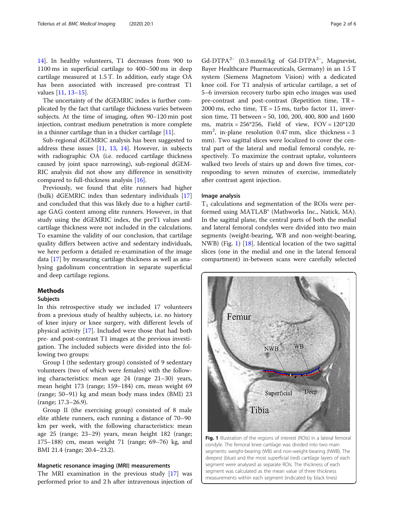<span id="page-1-0"></span>[14\]](#page-5-0). In healthy volunteers, T1 decreases from 900 to 1100 ms in superficial cartilage to 400–500 ms in deep cartilage measured at 1.5 T. In addition, early stage OA has been associated with increased pre-contrast T1 values [[11,](#page-5-0) [13](#page-5-0)–[15](#page-5-0)].

The uncertainty of the dGEMRIC index is further complicated by the fact that cartilage thickness varies between subjects. At the time of imaging, often 90–120 min post injection, contrast medium penetration is more complete in a thinner cartilage than in a thicker cartilage [[11](#page-5-0)].

Sub-regional dGEMRIC analysis has been suggested to address these issues [\[11,](#page-5-0) [13,](#page-5-0) [14](#page-5-0)]. However, in subjects with radiographic OA (i.e. reduced cartilage thickness caused by joint space narrowing), sub-regional dGEM-RIC analysis did not show any difference in sensitivity compared to full-thickness analysis [\[16](#page-5-0)].

Previously, we found that elite runners had higher (bulk) dGEMRIC index than sedentary individuals [[17](#page-5-0)] and concluded that this was likely due to a higher cartilage GAG content among elite runners. However, in that study using the dGEMRIC index, the preT1 values and cartilage thickness were not included in the calculations. To examine the validity of our conclusion, that cartilage quality differs between active and sedentary individuals, we here perform a detailed re-examination of the image data [[17\]](#page-5-0) by measuring cartilage thickness as well as analysing gadolinum concentration in separate superficial and deep cartilage regions.

# Methods

## Subjects

In this retrospective study we included 17 volunteers from a previous study of healthy subjects, i.e. no history of knee injury or knee surgery, with different levels of physical activity [\[17](#page-5-0)]. Included were those that had both pre- and post-contrast T1 images at the previous investigation. The included subjects were divided into the following two groups:

Group I (the sedentary group) consisted of 9 sedentary volunteers (two of which were females) with the following characteristics: mean age 24 (range 21–30) years, mean height 173 (range; 159–184) cm, mean weight 69 (range; 50–91) kg and mean body mass index (BMI) 23 (range; 17.3–26.9).

Group II (the exercising group) consisted of 8 male elite athlete runners, each running a distance of 70–90 km per week, with the following characteristics: mean age 25 (range; 23–29) years, mean height 182 (range; 175–188) cm, mean weight 71 (range; 69–76) kg, and BMI 21.4 (range; 20.4–23.2).

# Magnetic resonance imaging (MRI) measurements

The MRI examination in the previous study [\[17](#page-5-0)] was performed prior to and 2 h after intravenous injection of

 $Gd$ - $DTPA^{2-}$  (0.3 mmol/kg of  $Gd$ - $DTPA^{2-}$ , Magnevist, Bayer Healthcare Pharmaceuticals, Germany) in an 1.5 T system (Siemens Magnetom Vision) with a dedicated knee coil. For T1 analysis of articular cartilage, a set of 5–6 inversion recovery turbo spin echo images was used pre-contrast and post-contrast (Repetition time, TR =  $2000 \text{ ms}$ , echo time, TE = 15 ms, turbo factor 11, inversion time, TI between = 50, 100, 200, 400, 800 and 1600 ms, matrix = 256\*256, Field of view, FOV = 120\*120 mm<sup>2</sup> , in-plane resolution 0.47 mm, slice thickness = 3 mm). Two sagittal slices were localized to cover the central part of the lateral and medial femoral condyle, respectively. To maximize the contrast uptake, volunteers walked two levels of stairs up and down five times, corresponding to seven minutes of exercise, immediately after contrast agent injection.

# Image analysis

 $T_1$  calculations and segmentation of the ROIs were performed using MATLAB® (Mathworks Inc., Natick, MA). In the sagittal plane, the central parts of both the medial and lateral femoral condyles were divided into two main segments (weight-bearing, WB and non-weight-bearing, NWB) (Fig. 1) [\[18](#page-5-0)]. Identical location of the two sagittal slices (one in the medial and one in the lateral femoral compartment) in-between scans were carefully selected



Fig. 1 Illustration of the regions of interest (ROIs) in a lateral femoral condyle. The femoral knee cartilage was divided into two main segments: weight-bearing (WB) and non-weight-bearing (NWB). The deepest (blue) and the most superficial (red) cartilage layers of each segment were analysed as separate ROIs. The thickness of each segment was calculated as the mean value of three thickness measurements within each segment (indicated by black lines)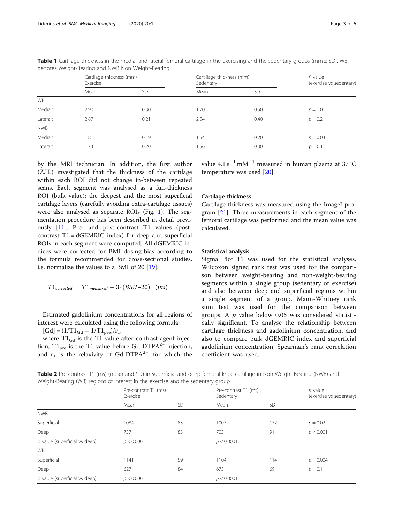|            | Cartilage thickness (mm)<br>Exercise |           | Cartlilage thickness (mm)<br>Sedentary |           | $P$ value<br>(exercise vs sedentary) |
|------------|--------------------------------------|-----------|----------------------------------------|-----------|--------------------------------------|
|            | Mean                                 | <b>SD</b> | Mean                                   | <b>SD</b> |                                      |
| <b>WB</b>  |                                      |           |                                        |           |                                      |
| Medialt    | 2.90                                 | 0.30      | 1.70                                   | 0.50      | $p = 0.005$                          |
| Lateralt   | 2.87                                 | 0.21      | 2.54                                   | 0.40      | $p = 0.2$                            |
| <b>NWB</b> |                                      |           |                                        |           |                                      |
| Medialt    | 1.81                                 | 0.19      | 1.54                                   | 0.20      | $p = 0.03$                           |
| Lateralt   | 1.73                                 | 0.20      | 1.56                                   | 0.30      | $p = 0.1$                            |

<span id="page-2-0"></span>Table 1 Cartilage thickness in the medial and lateral femoral cartilage in the exercising and the sedentary groups (mm ± SD). WB denotes Weight-Bearing and NWB Non Weight-Bearing

by the MRI technician. In addition, the first author (Z.H.) investigated that the thickness of the cartilage within each ROI did not change in-between repeated scans. Each segment was analysed as a full-thickness ROI (bulk value); the deepest and the most superficial cartilage layers (carefully avoiding extra-cartilage tissues) were also analysed as separate ROIs (Fig. [1](#page-1-0)). The segmentation procedure has been described in detail previously [[11\]](#page-5-0). Pre- and post-contrast T1 values (postcontrast  $T1 = dGEMRIC$  index) for deep and superficial ROIs in each segment were computed. All dGEMRIC indices were corrected for BMI dosing-bias according to the formula recommended for cross-sectional studies, i.e. normalize the values to a BMI of 20 [[19](#page-5-0)]:

$$
T1_{corrected}=T1_{measured}+3{*}(BMI-20)~~\ (ms)
$$

Estimated gadolinium concentrations for all regions of interest were calculated using the following formula:

 $[Gd] = (1/T1_{Gd} - 1/T1_{pre})/r_1$ ,

where  $T1_{Gd}$  is the T1 value after contrast agent injection,  $T1_{pre}$  is the T1 value before Gd-DTPA<sup>2−</sup> injection, and  $r_1$  is the relaxivity of Gd-DTPA<sup>2-</sup>, for which the

value 4.1 s<sup>-1</sup> mM<sup>-1</sup> measured in human plasma at 37 °C temperature was used [\[20](#page-5-0)].

# Cartilage thickness

Cartilage thickness was measured using the ImageJ pro-gram [[21](#page-5-0)]. Three measurements in each segment of the femoral cartilage was performed and the mean value was calculated.

# Statistical analysis

Sigma Plot 11 was used for the statistical analyses. Wilcoxon signed rank test was used for the comparison between weight-bearing and non-weight-bearing segments within a single group (sedentary or exercise) and also between deep and superficial regions within a single segment of a group. Mann-Whitney rank sum test was used for the comparison between groups. A  $p$  value below 0.05 was considered statistically significant. To analyse the relationship between cartilage thickness and gadolinium concentration, and also to compare bulk dGEMRIC index and superficial gadolinium concentration, Spearman's rank correlation coefficient was used.

Table 2 Pre-contrast T1 (ms) (mean and SD) in superficial and deep femoral knee cartilage in Non Weight-Bearing (NWB) and Weight-Bearing (WB) regions of interest in the exercise and the sedentary group

|                               | Pre-contrast T1 (ms)<br>Exercise |           | Pre-contrast T1 (ms)<br>Sedentary |           | $p$ value<br>(exercise vs sedentary) |
|-------------------------------|----------------------------------|-----------|-----------------------------------|-----------|--------------------------------------|
|                               | Mean                             | <b>SD</b> | Mean                              | <b>SD</b> |                                      |
| <b>NWB</b>                    |                                  |           |                                   |           |                                      |
| Superficial                   | 1084                             | 83        | 1003                              | 132       | $p = 0.02$                           |
| Deep                          | 737                              | 83        | 703                               | 91        | p < 0.001                            |
| p value (superficial vs deep) | p < 0.0001                       |           | p < 0.0001                        |           |                                      |
| <b>WB</b>                     |                                  |           |                                   |           |                                      |
| Superficial                   | 1141                             | 59        | 1104                              | 114       | $p = 0.004$                          |
| Deep                          | 627                              | 84        | 673                               | 69        | $p = 0.1$                            |
| p value (superficial vs deep) | p < 0.0001                       |           | p < 0.0001                        |           |                                      |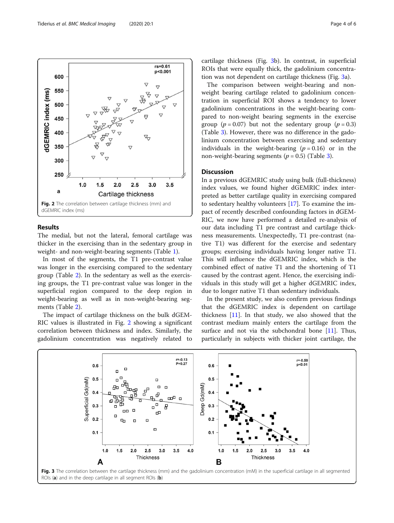

# Results

The medial, but not the lateral, femoral cartilage was thicker in the exercising than in the sedentary group in weight- and non-weight-bearing segments (Table [1](#page-2-0)).

In most of the segments, the T1 pre-contrast value was longer in the exercising compared to the sedentary group (Table [2\)](#page-2-0). In the sedentary as well as the exercising groups, the T1 pre-contrast value was longer in the superficial region compared to the deep region in weight-bearing as well as in non-weight-bearing segments (Table [2\)](#page-2-0).

The impact of cartilage thickness on the bulk dGEM-RIC values is illustrated in Fig. 2 showing a significant correlation between thickness and index. Similarly, the gadolinium concentration was negatively related to

cartilage thickness (Fig. 3b). In contrast, in superficial ROIs that were equally thick, the gadolinium concentration was not dependent on cartilage thickness (Fig. 3a).

The comparison between weight-bearing and nonweight bearing cartilage related to gadolinium concentration in superficial ROI shows a tendency to lower gadolinium concentrations in the weight-bearing compared to non-weight bearing segments in the exercise group ( $p = 0.07$ ) but not the sedentary group ( $p = 0.3$ ) (Table [3\)](#page-4-0). However, there was no difference in the gadolinium concentration between exercising and sedentary individuals in the weight-bearing  $(p = 0.16)$  or in the non-weight-bearing segments ( $p = 0.5$ ) (Table [3\)](#page-4-0).

# **Discussion**

In a previous dGEMRIC study using bulk (full-thickness) index values, we found higher dGEMRIC index interpreted as better cartilage quality in exercising compared to sedentary healthy volunteers [[17](#page-5-0)]. To examine the impact of recently described confounding factors in dGEM-RIC, we now have performed a detailed re-analysis of our data including T1 pre contrast and cartilage thickness measurements. Unexpectedly, T1 pre-contrast (native T1) was different for the exercise and sedentary groups; exercising individuals having longer native T1. This will influence the dGEMRIC index, which is the combined effect of native T1 and the shortening of T1 caused by the contrast agent. Hence, the exercising individuals in this study will get a higher dGEMRIC index, due to longer native T1 than sedentary individuals.

In the present study, we also confirm previous findings that the dGEMRIC index is dependent on cartilage thickness [\[11](#page-5-0)]. In that study, we also showed that the contrast medium mainly enters the cartilage from the surface and not via the subchondral bone  $[11]$  $[11]$ . Thus, particularly in subjects with thicker joint cartilage, the



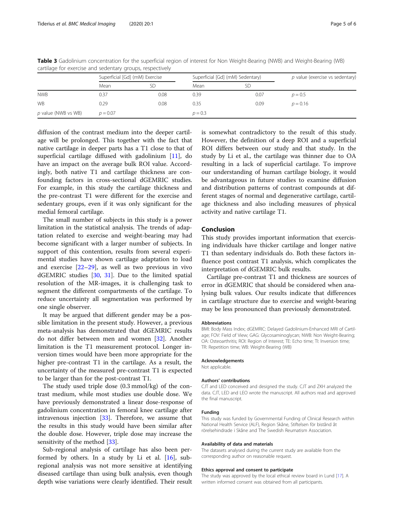|                     | Superficial [Gd] (mM) Exercise |      | Superficial [Gd] (mM) Sedentary) |      | $p$ value (exercise vs sedentary) |
|---------------------|--------------------------------|------|----------------------------------|------|-----------------------------------|
|                     | Mean                           | SD   | Mean                             |      |                                   |
| <b>NWB</b>          | 0.37                           | 0.08 | 0.39                             | 0.07 | $p = 0.5$                         |
| <b>WB</b>           | 0.29                           | 0.08 | 0.35                             | 0.09 | $p = 0.16$                        |
| p value (NWB vs WB) | $p = 0.07$                     |      | $p = 0.3$                        |      |                                   |

<span id="page-4-0"></span>Table 3 Gadolinium concentration for the superficial region of interest for Non Weight-Bearing (NWB) and Weight-Bearing (WB) cartilage for exercise and sedentary groups, respectively

diffusion of the contrast medium into the deeper cartilage will be prolonged. This together with the fact that native cartilage in deeper parts has a T1 close to that of superficial cartilage diffused with gadolinium  $[11]$  $[11]$  $[11]$ , do have an impact on the average bulk ROI value. Accordingly, both native T1 and cartilage thickness are confounding factors in cross-sectional dGEMRIC studies. For example, in this study the cartilage thickness and the pre-contrast T1 were different for the exercise and sedentary groups, even if it was only significant for the medial femoral cartilage.

The small number of subjects in this study is a power limitation in the statistical analysis. The trends of adaptation related to exercise and weight-bearing may had become significant with a larger number of subjects. In support of this contention, results from several experimental studies have shown cartilage adaptation to load and exercise [\[22](#page-5-0)–[29\]](#page-5-0), as well as two previous in vivo dGEMRIC studies [\[30,](#page-5-0) [31\]](#page-5-0). Due to the limited spatial resolution of the MR-images, it is challenging task to segment the different compartments of the cartilage. To reduce uncertainty all segmentation was performed by one single observer.

It may be argued that different gender may be a possible limitation in the present study. However, a previous meta-analysis has demonstrated that dGEMRIC results do not differ between men and women [\[32](#page-5-0)]. Another limitation is the T1 measurement protocol. Longer inversion times would have been more appropriate for the higher pre-contrast T1 in the cartilage. As a result, the uncertainty of the measured pre-contrast T1 is expected to be larger than for the post-contrast T1.

The study used triple dose (0.3 mmol/kg) of the contrast medium, while most studies use double dose. We have previously demonstrated a linear dose-response of gadolinium concentration in femoral knee cartilage after intravenous injection [[33\]](#page-5-0). Therefore, we assume that the results in this study would have been similar after the double dose. However, triple dose may increase the sensitivity of the method [\[33\]](#page-5-0).

Sub-regional analysis of cartilage has also been performed by others. In a study by Li et al.  $[16]$  $[16]$ , subregional analysis was not more sensitive at identifying diseased cartilage than using bulk analysis, even though depth wise variations were clearly identified. Their result

is somewhat contradictory to the result of this study. However, the definition of a deep ROI and a superficial ROI differs between our study and that study. In the study by Li et al., the cartilage was thinner due to OA resulting in a lack of superficial cartilage. To improve our understanding of human cartilage biology, it would be advantageous in future studies to examine diffusion and distribution patterns of contrast compounds at different stages of normal and degenerative cartilage, cartilage thickness and also including measures of physical activity and native cartilage T1.

# Conclusion

This study provides important information that exercising individuals have thicker cartilage and longer native T1 than sedentary individuals do. Both these factors influence post contrast T1 analysis, which complicates the interpretation of dGEMRIC bulk results.

Cartilage pre-contrast T1 and thickness are sources of error in dGEMRIC that should be considered when analysing bulk values. Our results indicate that differences in cartilage structure due to exercise and weight-bearing may be less pronounced than previously demonstrated.

#### **Abbreviations**

BMI: Body Mass Index; dGEMRIC: Delayed Gadolinium-Enhanced MRI of Cartilage; FOV: Field of View; GAG: Glycosaminoglycan; NWB: Non Weight-Bearing; OA: Osteoarthritis; ROI: Region of Interest; TE: Echo time; TI: Inversion time; TR: Repetition time; WB: Weight-Bearing (WB)

## Acknowledgements

Not applicable.

#### Authors' contributions

CJT and LED conceived and designed the study. CJT and ZKH analyzed the data. CJT, LED and LEO wrote the manuscript. All authors read and approved the final manuscript.

#### Funding

This study was funded by Governmental Funding of Clinical Research within National Health Service (ALF), Region Skåne, Stiftelsen för bistånd åt rörelsehindrade i Skåne and The Swedish Reumatism Association.

#### Availability of data and materials

The datasets analysed during the current study are available from the corresponding author on reasonable request.

#### Ethics approval and consent to participate

The study was approved by the local ethical review board in Lund [\[17](#page-5-0)]. A written informed consent was obtained from all participants.